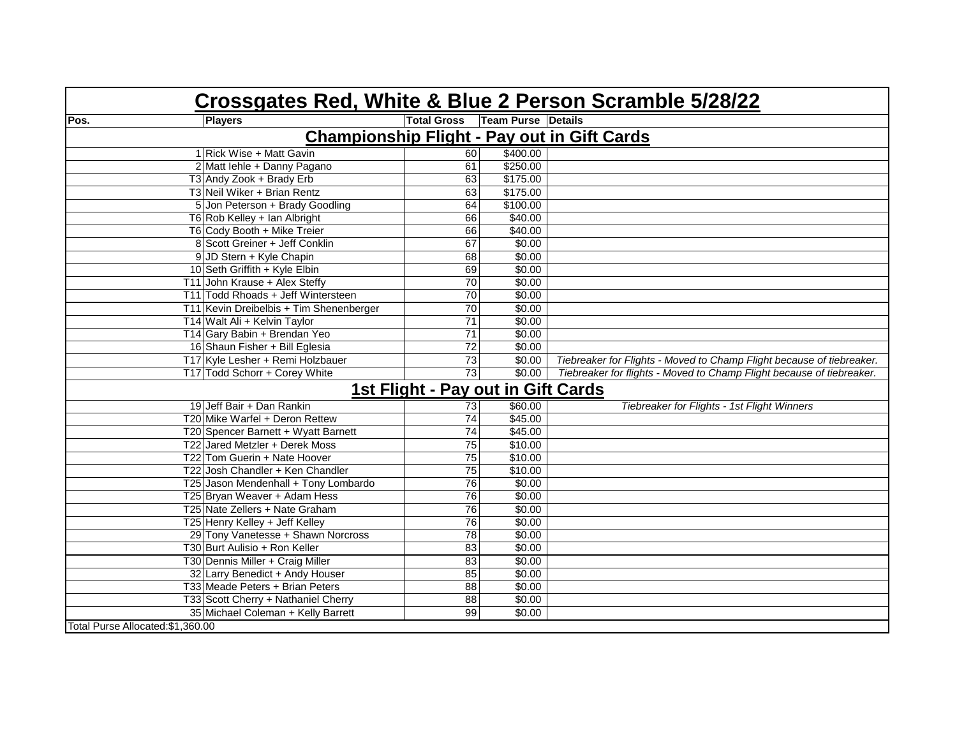| Crossgates Red, White & Blue 2 Person Scramble 5/28/22 |                                         |                    |                           |                                                                       |  |  |  |  |
|--------------------------------------------------------|-----------------------------------------|--------------------|---------------------------|-----------------------------------------------------------------------|--|--|--|--|
| Pos.                                                   | <b>Players</b>                          | <b>Total Gross</b> | <b>Team Purse Details</b> |                                                                       |  |  |  |  |
| <b>Championship Flight - Pay out in Gift Cards</b>     |                                         |                    |                           |                                                                       |  |  |  |  |
|                                                        | 1 Rick Wise + Matt Gavin                | 60                 | \$400.00                  |                                                                       |  |  |  |  |
|                                                        | 2 Matt lehle + Danny Pagano             | 61                 | \$250.00                  |                                                                       |  |  |  |  |
|                                                        | T3 Andy Zook + Brady Erb                | 63                 | \$175.00                  |                                                                       |  |  |  |  |
|                                                        | T3 Neil Wiker + Brian Rentz             | 63                 | \$175.00                  |                                                                       |  |  |  |  |
|                                                        | 5 Jon Peterson + Brady Goodling         | 64                 | \$100.00                  |                                                                       |  |  |  |  |
|                                                        | T6 Rob Kelley + Ian Albright            | 66                 | \$40.00                   |                                                                       |  |  |  |  |
|                                                        | T6 Cody Booth + Mike Treier             | 66                 | \$40.00                   |                                                                       |  |  |  |  |
|                                                        | 8 Scott Greiner + Jeff Conklin          | 67                 | \$0.00                    |                                                                       |  |  |  |  |
|                                                        | 9 JD Stern + Kyle Chapin                | 68                 | \$0.00                    |                                                                       |  |  |  |  |
|                                                        | 10 Seth Griffith + Kyle Elbin           | 69                 | \$0.00                    |                                                                       |  |  |  |  |
|                                                        | T11 John Krause + Alex Steffy           | $\overline{70}$    | \$0.00                    |                                                                       |  |  |  |  |
|                                                        | T11 Todd Rhoads + Jeff Wintersteen      | 70                 | \$0.00                    |                                                                       |  |  |  |  |
|                                                        | T11 Kevin Dreibelbis + Tim Shenenberger | 70                 | \$0.00                    |                                                                       |  |  |  |  |
|                                                        | T14 Walt Ali + Kelvin Taylor            | $\overline{71}$    | \$0.00                    |                                                                       |  |  |  |  |
|                                                        | T14 Gary Babin + Brendan Yeo            | $\overline{71}$    | \$0.00                    |                                                                       |  |  |  |  |
|                                                        | 16 Shaun Fisher + Bill Eglesia          | $\overline{72}$    | \$0.00                    |                                                                       |  |  |  |  |
|                                                        | T17 Kyle Lesher + Remi Holzbauer        | 73                 | \$0.00                    | Tiebreaker for Flights - Moved to Champ Flight because of tiebreaker. |  |  |  |  |
|                                                        | T17 Todd Schorr + Corey White           | $\overline{73}$    | \$0.00                    | Tiebreaker for flights - Moved to Champ Flight because of tiebreaker. |  |  |  |  |
| <b>1st Flight - Pay out in Gift Cards</b>              |                                         |                    |                           |                                                                       |  |  |  |  |
|                                                        | 19 Jeff Bair + Dan Rankin               | 73                 | \$60.00                   | Tiebreaker for Flights - 1st Flight Winners                           |  |  |  |  |
|                                                        | T20 Mike Warfel + Deron Rettew          | $\overline{74}$    | \$45.00                   |                                                                       |  |  |  |  |
|                                                        | T20 Spencer Barnett + Wyatt Barnett     | $\overline{74}$    | \$45.00                   |                                                                       |  |  |  |  |
|                                                        | T22 Jared Metzler + Derek Moss          | $\overline{75}$    | \$10.00                   |                                                                       |  |  |  |  |
|                                                        | T22 Tom Guerin + Nate Hoover            | 75                 | \$10.00                   |                                                                       |  |  |  |  |
|                                                        | T22 Josh Chandler + Ken Chandler        | $\overline{75}$    | \$10.00                   |                                                                       |  |  |  |  |
|                                                        | T25 Jason Mendenhall + Tony Lombardo    | 76                 | \$0.00                    |                                                                       |  |  |  |  |
|                                                        | T25 Bryan Weaver + Adam Hess            | $\overline{76}$    | \$0.00                    |                                                                       |  |  |  |  |
|                                                        | T25 Nate Zellers + Nate Graham          | $\overline{76}$    | \$0.00                    |                                                                       |  |  |  |  |
|                                                        | T25 Henry Kelley + Jeff Kelley          | $\overline{76}$    | \$0.00                    |                                                                       |  |  |  |  |
|                                                        | 29 Tony Vanetesse + Shawn Norcross      | $\overline{78}$    | \$0.00                    |                                                                       |  |  |  |  |
|                                                        | T30 Burt Aulisio + Ron Keller           | 83                 | \$0.00                    |                                                                       |  |  |  |  |
|                                                        | T30 Dennis Miller + Craig Miller        | 83                 | \$0.00                    |                                                                       |  |  |  |  |
|                                                        | 32 Larry Benedict + Andy Houser         | 85                 | \$0.00                    |                                                                       |  |  |  |  |
|                                                        | T33 Meade Peters + Brian Peters         | $\overline{88}$    | \$0.00                    |                                                                       |  |  |  |  |
|                                                        | T33 Scott Cherry + Nathaniel Cherry     | 88                 | \$0.00                    |                                                                       |  |  |  |  |
|                                                        | 35 Michael Coleman + Kelly Barrett      | 99                 | \$0.00                    |                                                                       |  |  |  |  |
| Total Purse Allocated: \$1,360.00                      |                                         |                    |                           |                                                                       |  |  |  |  |